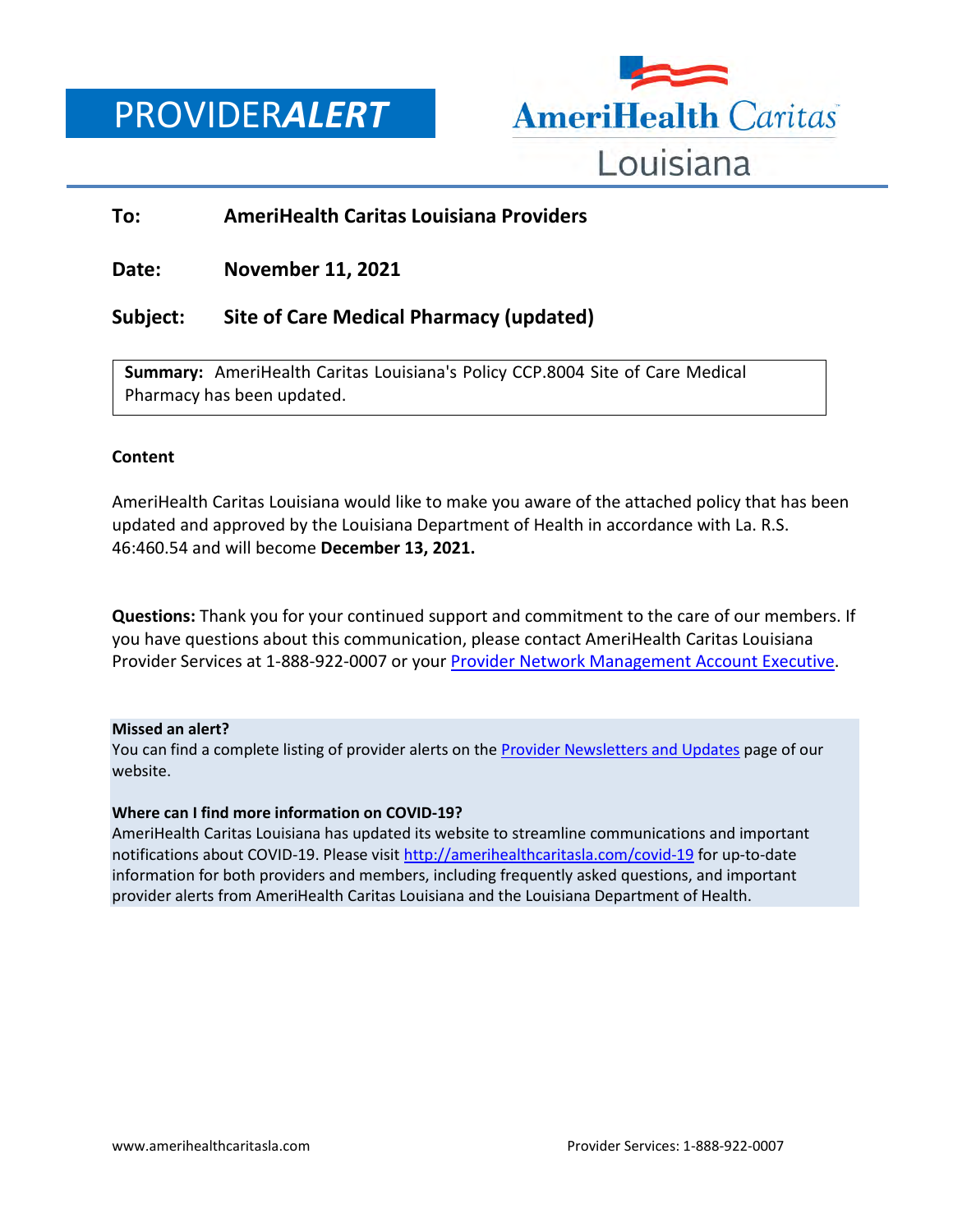## PROVIDER*ALERT*



### **To: AmeriHealth Caritas Louisiana Providers**

**Date: November 11, 2021**

## **Subject: Site of Care Medical Pharmacy (updated)**

**Summary:** AmeriHealth Caritas Louisiana's Policy CCP.8004 Site of Care Medical Pharmacy has been updated.

### **Content**

AmeriHealth Caritas Louisiana would like to make you aware of the attached policy that has been updated and approved by the Louisiana Department of Health in accordance with La. R.S. 46:460.54 and will become **December 13, 2021.**

**Questions:** Thank you for your continued support and commitment to the care of our members. If you have questions about this communication, please contact AmeriHealth Caritas Louisiana Provider Services at 1-888-922-0007 or you[r Provider Network Management Account Executive.](http://www.amerihealthcaritasla.com/pdf/provider/account-executives.pdf)

### **Missed an alert?**

You can find a complete listing of provider alerts on the [Provider Newsletters and Updates](http://amerihealthcaritasla.com/provider/newsletters-and-updates) page of our website.

### **Where can I find more information on COVID-19?**

AmeriHealth Caritas Louisiana has updated its website to streamline communications and important notifications about COVID-19. Please visit<http://amerihealthcaritasla.com/covid-19> for up-to-date information for both providers and members, including frequently asked questions, and important provider alerts from AmeriHealth Caritas Louisiana and the Louisiana Department of Health.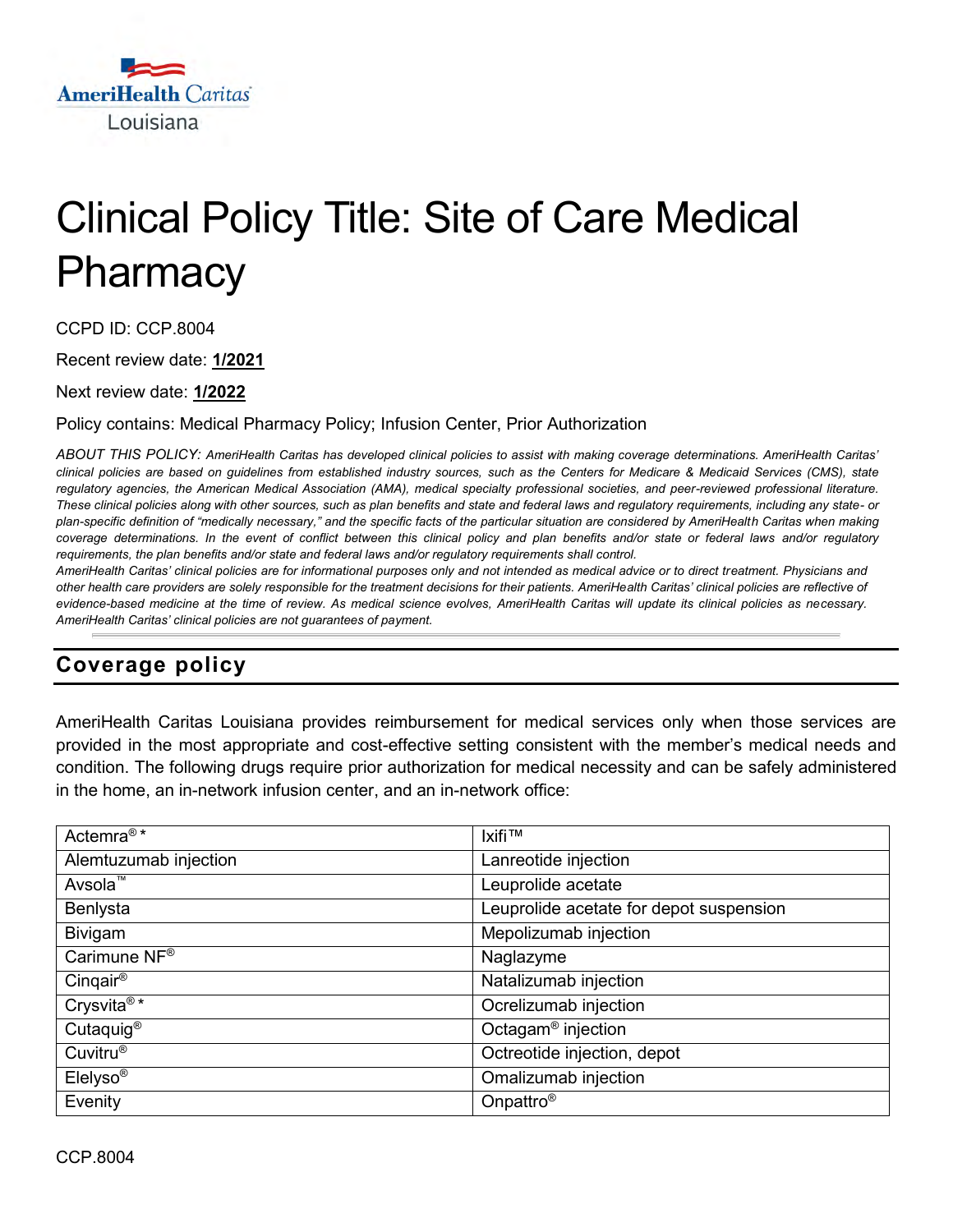

# Clinical Policy Title: Site of Care Medical **Pharmacy**

CCPD ID: CCP.8004

Recent review date: **1/2021**

Next review date: **1/2022**

Policy contains: Medical Pharmacy Policy; Infusion Center, Prior Authorization

*ABOUT THIS POLICY: AmeriHealth Caritas has developed clinical policies to assist with making coverage determinations. AmeriHealth Caritas' clinical policies are based on guidelines from established industry sources, such as the Centers for Medicare & Medicaid Services (CMS), state regulatory agencies, the American Medical Association (AMA), medical specialty professional societies, and peer-reviewed professional literature. These clinical policies along with other sources, such as plan benefits and state and federal laws and regulatory requirements, including any state- or plan-specific definition of "medically necessary," and the specific facts of the particular situation are considered by AmeriHealth Caritas when making coverage determinations. In the event of conflict between this clinical policy and plan benefits and/or state or federal laws and/or regulatory requirements, the plan benefits and/or state and federal laws and/or regulatory requirements shall control.*

*AmeriHealth Caritas' clinical policies are for informational purposes only and not intended as medical advice or to direct treatment. Physicians and other health care providers are solely responsible for the treatment decisions for their patients. AmeriHealth Caritas' clinical policies are reflective of evidence-based medicine at the time of review. As medical science evolves, AmeriHealth Caritas will update its clinical policies as necessary. AmeriHealth Caritas' clinical policies are not guarantees of payment.*

## **Coverage policy**

AmeriHealth Caritas Louisiana provides reimbursement for medical services only when those services are provided in the most appropriate and cost-effective setting consistent with the member's medical needs and condition. The following drugs require prior authorization for medical necessity and can be safely administered in the home, an in-network infusion center, and an in-network office:

| Actemra <sup>®*</sup>    | <b>Ixifi™</b>                           |
|--------------------------|-----------------------------------------|
| Alemtuzumab injection    | Lanreotide injection                    |
| Avsola <sup>™</sup>      | Leuprolide acetate                      |
| Benlysta                 | Leuprolide acetate for depot suspension |
| Bivigam                  | Mepolizumab injection                   |
| Carimune NF <sup>®</sup> | Naglazyme                               |
| Cinqair®                 | Natalizumab injection                   |
| Crysvita <sup>®*</sup>   | Ocrelizumab injection                   |
| Cutaquig <sup>®</sup>    | Octagam <sup>®</sup> injection          |
| Cuvitru <sup>®</sup>     | Octreotide injection, depot             |
| Elelyso <sup>®</sup>     | Omalizumab injection                    |
| Evenity                  | Onpattro <sup>®</sup>                   |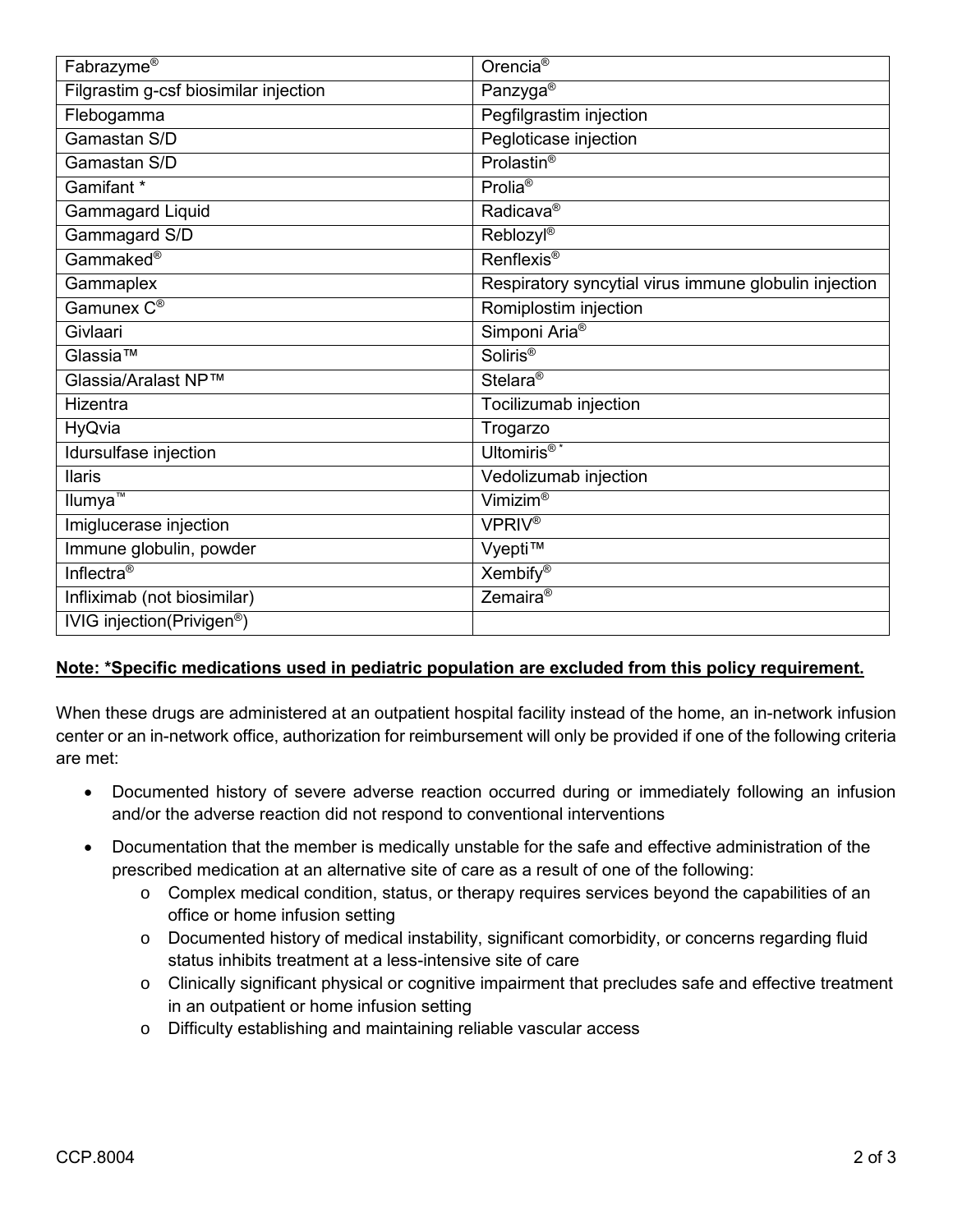| Fabrazyme®                             | Orencia <sup>®</sup>                                  |
|----------------------------------------|-------------------------------------------------------|
| Filgrastim g-csf biosimilar injection  | Panzyga <sup>®</sup>                                  |
| Flebogamma                             | Pegfilgrastim injection                               |
| Gamastan S/D                           | Pegloticase injection                                 |
| Gamastan S/D                           | Prolastin <sup>®</sup>                                |
| Gamifant *                             | Prolia <sup>®</sup>                                   |
| <b>Gammagard Liquid</b>                | Radicava <sup>®</sup>                                 |
| Gammagard S/D                          | Reblozyl®                                             |
| Gammaked <sup>®</sup>                  | Renflexis <sup>®</sup>                                |
| Gammaplex                              | Respiratory syncytial virus immune globulin injection |
| Gamunex C <sup>®</sup>                 | Romiplostim injection                                 |
| Givlaari                               | Simponi Aria <sup>®</sup>                             |
| Glassia™                               | Soliris <sup>®</sup>                                  |
| Glassia/Aralast NP™                    | Stelara <sup>®</sup>                                  |
| Hizentra                               | Tocilizumab injection                                 |
| HyQvia                                 | Trogarzo                                              |
| Idursulfase injection                  | Ultomiris <sup>®*</sup>                               |
| <b>Ilaris</b>                          | Vedolizumab injection                                 |
| Ilumya <sup>™</sup>                    | Vimizim®                                              |
| Imiglucerase injection                 | <b>VPRIV®</b>                                         |
| Immune globulin, powder                | Vyepti™                                               |
| Inflectra <sup>®</sup>                 | Xembify <sup>®</sup>                                  |
| Infliximab (not biosimilar)            | Zemaira <sup>®</sup>                                  |
| IVIG injection(Privigen <sup>®</sup> ) |                                                       |

### **Note: \*Specific medications used in pediatric population are excluded from this policy requirement.**

When these drugs are administered at an outpatient hospital facility instead of the home, an in-network infusion center or an in-network office, authorization for reimbursement will only be provided if one of the following criteria are met:

- Documented history of severe adverse reaction occurred during or immediately following an infusion and/or the adverse reaction did not respond to conventional interventions
- Documentation that the member is medically unstable for the safe and effective administration of the prescribed medication at an alternative site of care as a result of one of the following:
	- o Complex medical condition, status, or therapy requires services beyond the capabilities of an office or home infusion setting
	- o Documented history of medical instability, significant comorbidity, or concerns regarding fluid status inhibits treatment at a less-intensive site of care
	- o Clinically significant physical or cognitive impairment that precludes safe and effective treatment in an outpatient or home infusion setting
	- o Difficulty establishing and maintaining reliable vascular access